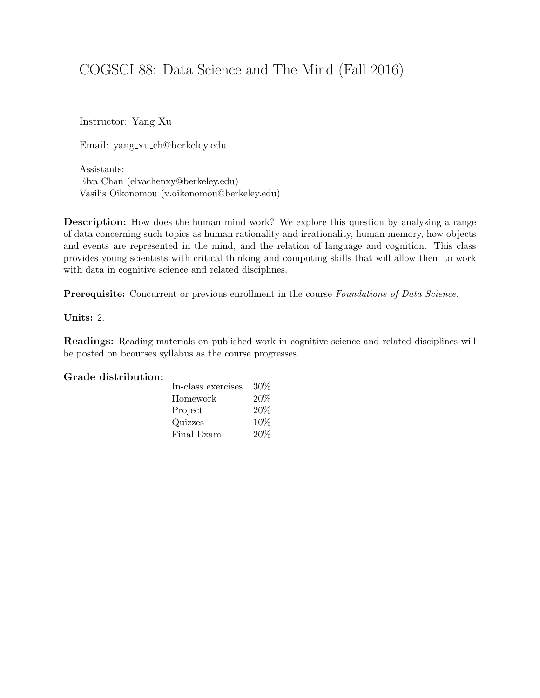# COGSCI 88: Data Science and The Mind (Fall 2016)

Instructor: Yang Xu

Email: yang xu ch@berkeley.edu

Assistants: Elva Chan (elvachenxy@berkeley.edu) Vasilis Oikonomou (v.oikonomou@berkeley.edu)

Description: How does the human mind work? We explore this question by analyzing a range of data concerning such topics as human rationality and irrationality, human memory, how objects and events are represented in the mind, and the relation of language and cognition. This class provides young scientists with critical thinking and computing skills that will allow them to work with data in cognitive science and related disciplines.

Prerequisite: Concurrent or previous enrollment in the course Foundations of Data Science.

Units: 2.

Readings: Reading materials on published work in cognitive science and related disciplines will be posted on bcourses syllabus as the course progresses.

#### Grade distribution:

| In-class exercises | 30% |
|--------------------|-----|
| Homework           | 20% |
| Project            | 20% |
| Quizzes            | 10% |
| Final Exam         | 20% |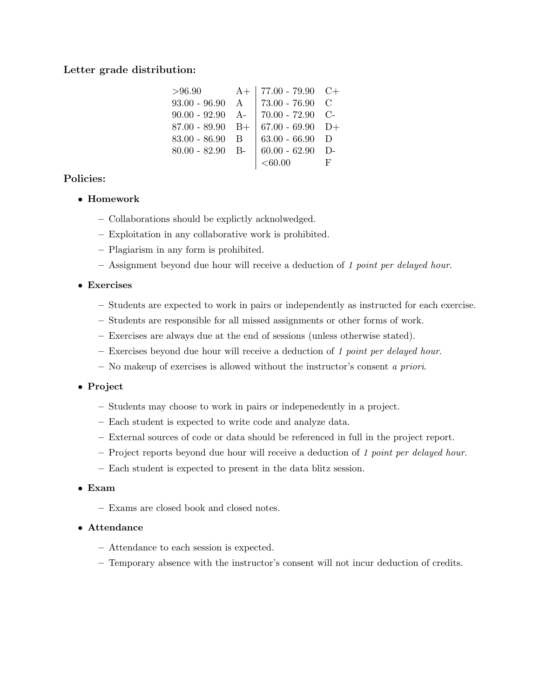# Letter grade distribution:

| >96.90             | $A+$   77.00 - 79.90 C+                   |    |
|--------------------|-------------------------------------------|----|
| $93.00 - 96.90$ A  | 73.00 - 76.90 $\,$ C                      |    |
|                    | $90.00 - 92.90$ A- 70.00 - 72.90 C-       |    |
| $87.00 - 89.90$ B+ | $  67.00 - 69.90 \text{ D+}$              |    |
| $83.00 - 86.90$ B  | 63.00 - 66.90 $\,$ D                      |    |
|                    | 80.00 - 82.90 B- $\vert$ 60.00 - 62.90 D- |    |
|                    | $< \!\! 60.00$                            | F. |

# Policies:

- Homework
	- Collaborations should be explictly acknolwedged.
	- Exploitation in any collaborative work is prohibited.
	- Plagiarism in any form is prohibited.
	- Assignment beyond due hour will receive a deduction of 1 point per delayed hour.

### • Exercises

- Students are expected to work in pairs or independently as instructed for each exercise.
- Students are responsible for all missed assignments or other forms of work.
- Exercises are always due at the end of sessions (unless otherwise stated).
- Exercises beyond due hour will receive a deduction of 1 point per delayed hour.
- No makeup of exercises is allowed without the instructor's consent a priori.

### • Project

- Students may choose to work in pairs or indepenedently in a project.
- Each student is expected to write code and analyze data.
- External sources of code or data should be referenced in full in the project report.
- Project reports beyond due hour will receive a deduction of 1 point per delayed hour.
- Each student is expected to present in the data blitz session.

#### • Exam

– Exams are closed book and closed notes.

#### • Attendance

- Attendance to each session is expected.
- Temporary absence with the instructor's consent will not incur deduction of credits.